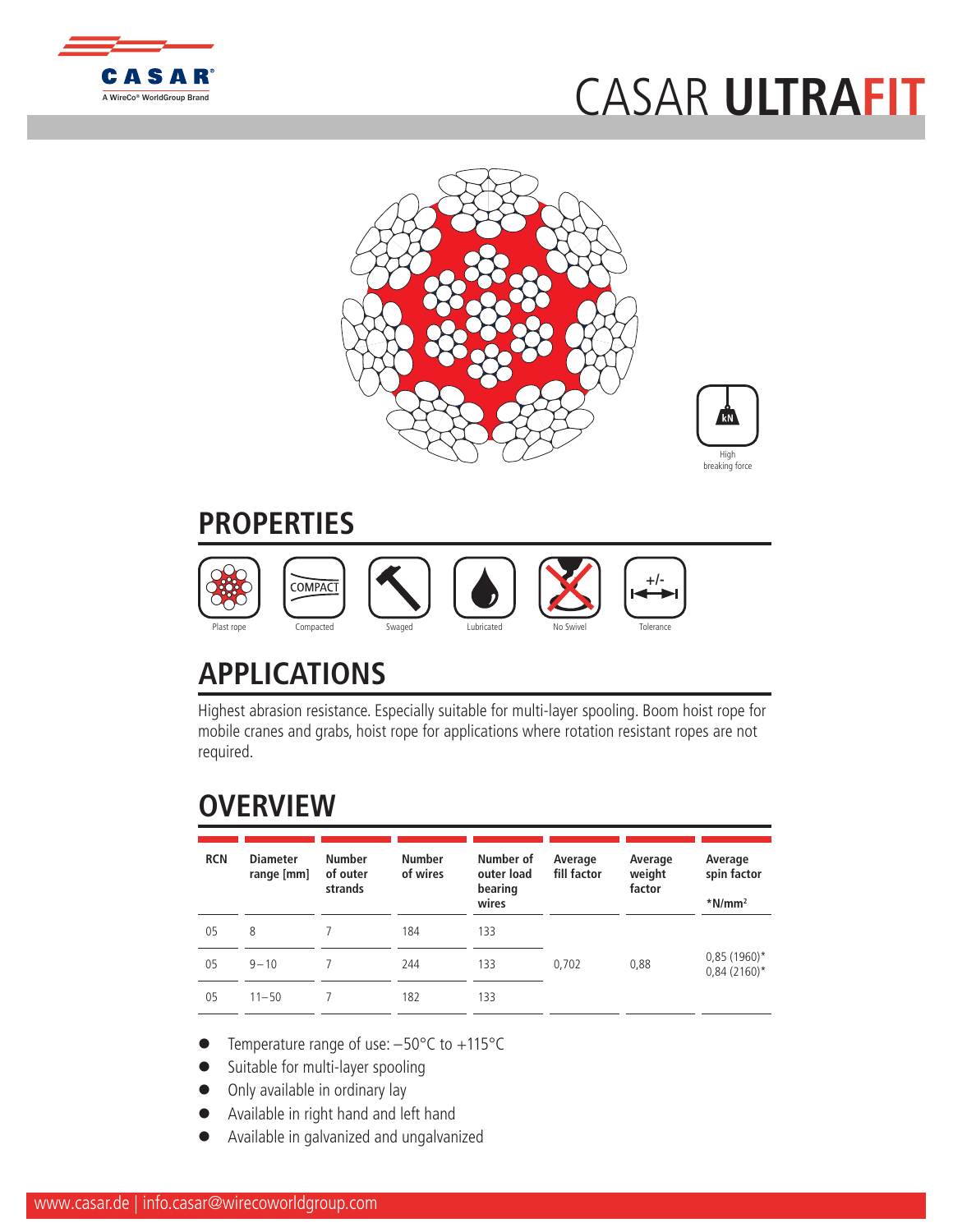

## [CASAR](http://www.WireCoWorldGroup.com) **ULTRAFIT**





## **PROPERTIES**



## **APPLICATIONS**

Highest abrasion resistance. Especially suitable for multi-layer spooling. Boom hoist rope for mobile cranes and grabs, hoist rope for applications where rotation resistant ropes are not required.

## **OVERVIEW**

| <b>RCN</b> | <b>Diameter</b><br>range [mm] | <b>Number</b><br>of outer<br>strands | <b>Number</b><br>of wires | Number of<br>outer load<br>bearing<br>wires | Average<br>fill factor | Average<br>weight<br>factor | Average<br>spin factor<br>$*$ N/mm <sup>2</sup> |
|------------|-------------------------------|--------------------------------------|---------------------------|---------------------------------------------|------------------------|-----------------------------|-------------------------------------------------|
| 05         | 8                             |                                      | 184                       | 133                                         |                        |                             |                                                 |
| 05         | $9 - 10$                      |                                      | 244                       | 133                                         | 0.702                  | 0,88                        | $0,85(1960)$ *<br>$0,84(2160)^*$                |
| 05         | $11 - 50$                     |                                      | 182                       | 133                                         |                        |                             |                                                 |

- Temperature range of use:  $-50^{\circ}$ C to  $+115^{\circ}$ C
- Suitable for multi-layer spooling
- Only available in ordinary lay
- l Available in right hand and left hand
- l Available in galvanized and ungalvanized